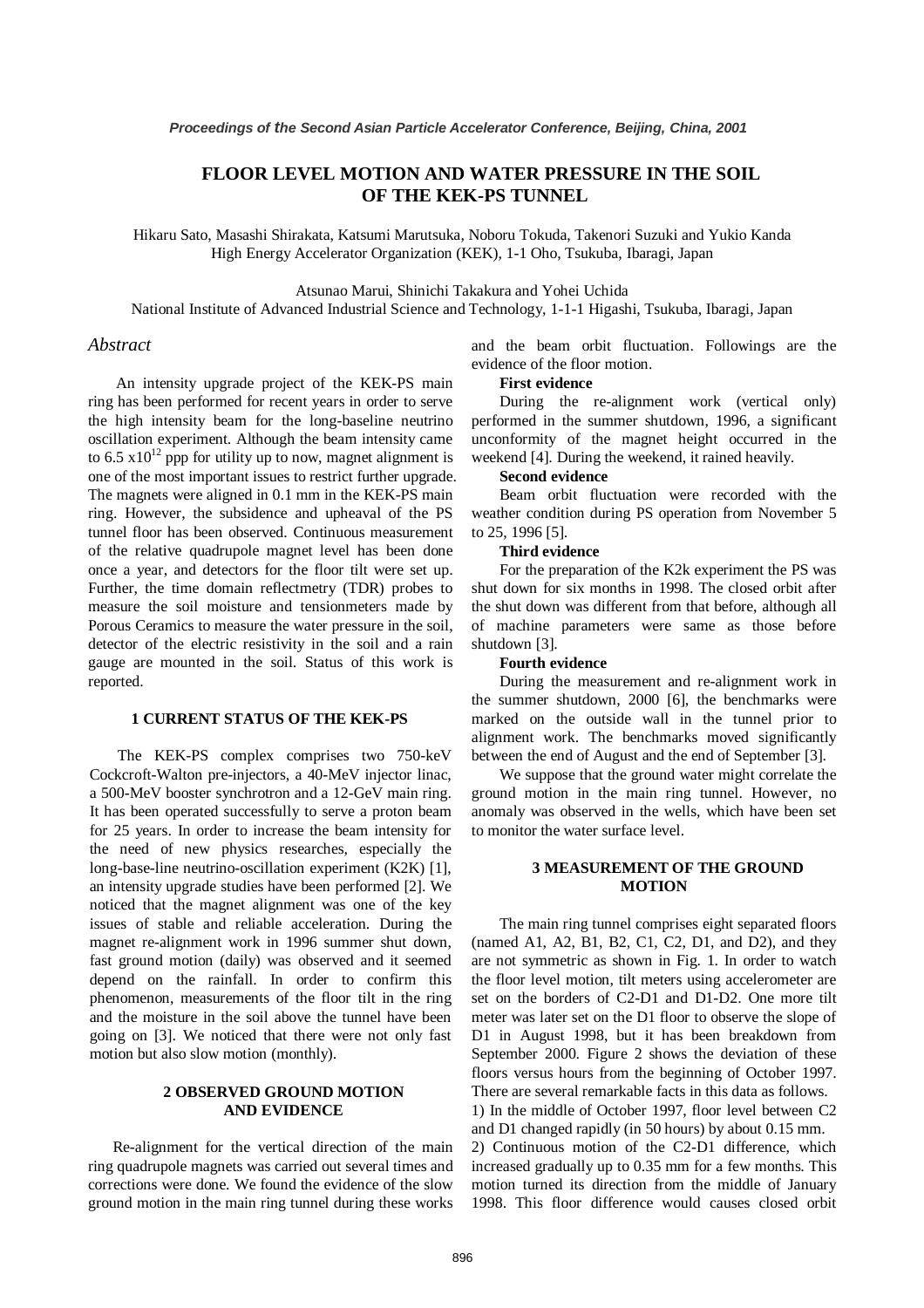# **FLOOR LEVEL MOTION AND WATER PRESSURE IN THE SOIL OF THE KEK-PS TUNNEL**

Hikaru Sato, Masashi Shirakata, Katsumi Marutsuka, Noboru Tokuda, Takenori Suzuki and Yukio Kanda High Energy Accelerator Organization (KEK), 1-1 Oho, Tsukuba, Ibaragi, Japan

Atsunao Marui, Shinichi Takakura and Yohei Uchida

National Institute of Advanced Industrial Science and Technology, 1-1-1 Higashi, Tsukuba, Ibaragi, Japan

### *Abstract*

An intensity upgrade project of the KEK-PS main ring has been performed for recent years in order to serve the high intensity beam for the long-baseline neutrino oscillation experiment. Although the beam intensity came to 6.5  $x10^{12}$  ppp for utility up to now, magnet alignment is one of the most important issues to restrict further upgrade. The magnets were aligned in 0.1 mm in the KEK-PS main ring. However, the subsidence and upheaval of the PS tunnel floor has been observed. Continuous measurement of the relative quadrupole magnet level has been done once a year, and detectors for the floor tilt were set up. Further, the time domain reflectmetry (TDR) probes to measure the soil moisture and tensionmeters made by Porous Ceramics to measure the water pressure in the soil, detector of the electric resistivity in the soil and a rain gauge are mounted in the soil. Status of this work is reported.

### **1 CURRENT STATUS OF THE KEK-PS**

The KEK-PS complex comprises two 750-keV Cockcroft-Walton pre-injectors, a 40-MeV injector linac, a 500-MeV booster synchrotron and a 12-GeV main ring. It has been operated successfully to serve a proton beam for 25 years. In order to increase the beam intensity for the need of new physics researches, especially the long-base-line neutrino-oscillation experiment (K2K) [1], an intensity upgrade studies have been performed [2]. We noticed that the magnet alignment was one of the key issues of stable and reliable acceleration. During the magnet re-alignment work in 1996 summer shut down, fast ground motion (daily) was observed and it seemed depend on the rainfall. In order to confirm this phenomenon, measurements of the floor tilt in the ring and the moisture in the soil above the tunnel have been going on [3]. We noticed that there were not only fast motion but also slow motion (monthly).

### **2 OBSERVED GROUND MOTION AND EVIDENCE**

Re-alignment for the vertical direction of the main ring quadrupole magnets was carried out several times and corrections were done. We found the evidence of the slow ground motion in the main ring tunnel during these works and the beam orbit fluctuation. Followings are the evidence of the floor motion.

## **First evidence**

During the re-alignment work (vertical only) performed in the summer shutdown, 1996, a significant unconformity of the magnet height occurred in the weekend [4]. During the weekend, it rained heavily.

#### **Second evidence**

Beam orbit fluctuation were recorded with the weather condition during PS operation from November 5 to 25, 1996 [5].

#### **Third evidence**

For the preparation of the K2k experiment the PS was shut down for six months in 1998. The closed orbit after the shut down was different from that before, although all of machine parameters were same as those before shutdown [3].

#### **Fourth evidence**

During the measurement and re-alignment work in the summer shutdown, 2000 [6], the benchmarks were marked on the outside wall in the tunnel prior to alignment work. The benchmarks moved significantly between the end of August and the end of September [3].

We suppose that the ground water might correlate the ground motion in the main ring tunnel. However, no anomaly was observed in the wells, which have been set to monitor the water surface level.

### **3 MEASUREMENT OF THE GROUND MOTION**

The main ring tunnel comprises eight separated floors (named A1, A2, B1, B2, C1, C2, D1, and D2), and they are not symmetric as shown in Fig. 1. In order to watch the floor level motion, tilt meters using accelerometer are set on the borders of C2-D1 and D1-D2. One more tilt meter was later set on the D1 floor to observe the slope of D1 in August 1998, but it has been breakdown from September 2000. Figure 2 shows the deviation of these floors versus hours from the beginning of October 1997. There are several remarkable facts in this data as follows. 1) In the middle of October 1997, floor level between C2 and D1 changed rapidly (in 50 hours) by about 0.15 mm. 2) Continuous motion of the C2-D1 difference, which increased gradually up to 0.35 mm for a few months. This motion turned its direction from the middle of January 1998. This floor difference would causes closed orbit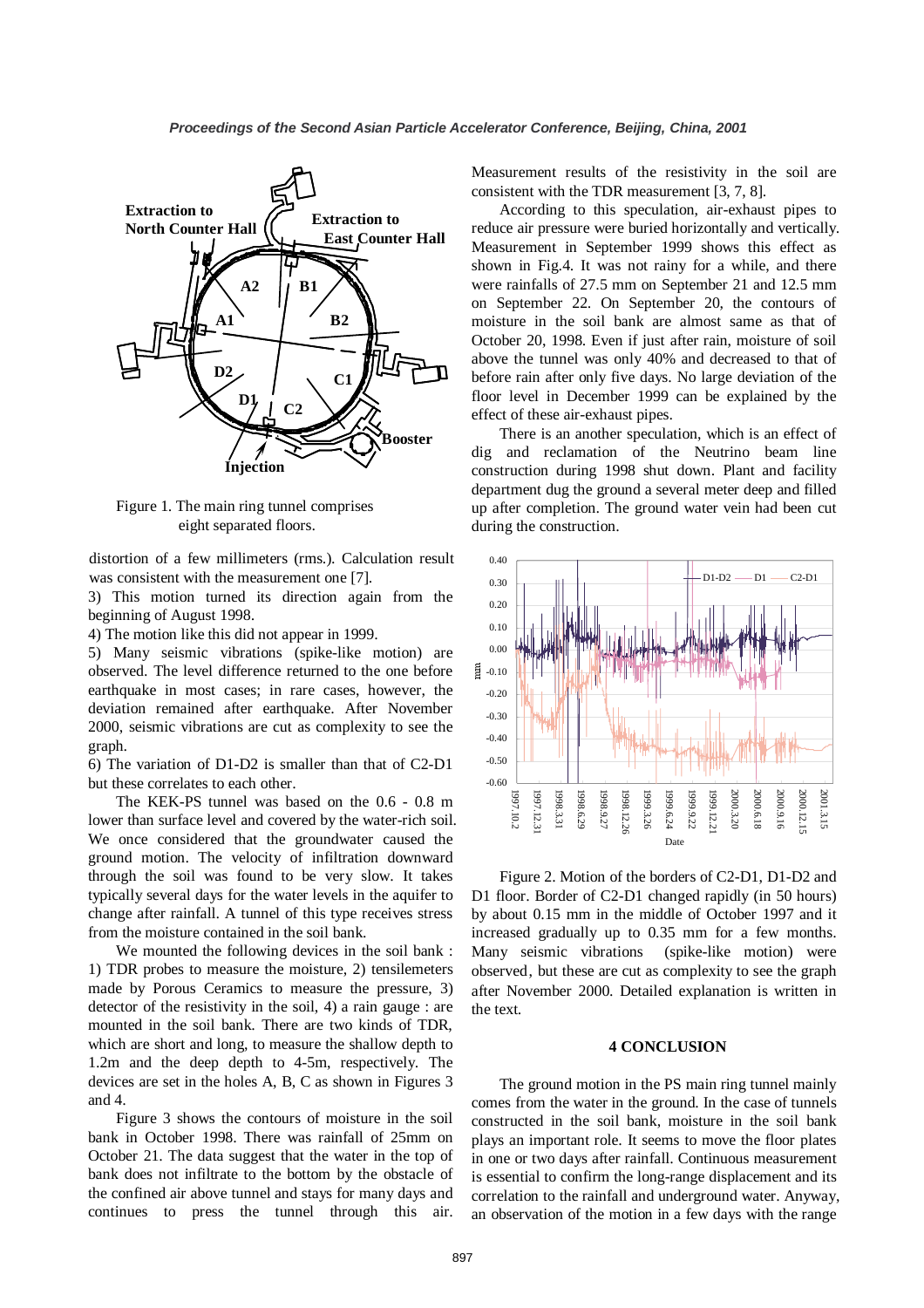

Figure 1. The main ring tunnel comprises eight separated floors.

distortion of a few millimeters (rms.). Calculation result was consistent with the measurement one [7].

3) This motion turned its direction again from the beginning of August 1998.

4) The motion like this did not appear in 1999.

5) Many seismic vibrations (spike-like motion) are observed. The level difference returned to the one before earthquake in most cases; in rare cases, however, the deviation remained after earthquake. After November 2000, seismic vibrations are cut as complexity to see the graph.

6) The variation of D1-D2 is smaller than that of C2-D1 but these correlates to each other.

The KEK-PS tunnel was based on the 0.6 - 0.8 m lower than surface level and covered by the water-rich soil. We once considered that the groundwater caused the ground motion. The velocity of infiltration downward through the soil was found to be very slow. It takes typically several days for the water levels in the aquifer to change after rainfall. A tunnel of this type receives stress from the moisture contained in the soil bank.

We mounted the following devices in the soil bank : 1) TDR probes to measure the moisture, 2) tensilemeters made by Porous Ceramics to measure the pressure, 3) detector of the resistivity in the soil, 4) a rain gauge : are mounted in the soil bank. There are two kinds of TDR, which are short and long, to measure the shallow depth to 1.2m and the deep depth to 4-5m, respectively. The devices are set in the holes A, B, C as shown in Figures 3 and 4.

Figure 3 shows the contours of moisture in the soil bank in October 1998. There was rainfall of 25mm on October 21. The data suggest that the water in the top of bank does not infiltrate to the bottom by the obstacle of the confined air above tunnel and stays for many days and continues to press the tunnel through this air. Measurement results of the resistivity in the soil are consistent with the TDR measurement [3, 7, 8].

According to this speculation, air-exhaust pipes to reduce air pressure were buried horizontally and vertically. Measurement in September 1999 shows this effect as shown in Fig.4. It was not rainy for a while, and there were rainfalls of 27.5 mm on September 21 and 12.5 mm on September 22. On September 20, the contours of moisture in the soil bank are almost same as that of October 20, 1998. Even if just after rain, moisture of soil above the tunnel was only 40% and decreased to that of before rain after only five days. No large deviation of the floor level in December 1999 can be explained by the effect of these air-exhaust pipes.

There is an another speculation, which is an effect of dig and reclamation of the Neutrino beam line construction during 1998 shut down. Plant and facility department dug the ground a several meter deep and filled up after completion. The ground water vein had been cut during the construction.



Figure 2. Motion of the borders of C2-D1, D1-D2 and D1 floor. Border of C2-D1 changed rapidly (in 50 hours) by about 0.15 mm in the middle of October 1997 and it increased gradually up to 0.35 mm for a few months. Many seismic vibrations (spike-like motion) were observed, but these are cut as complexity to see the graph after November 2000. Detailed explanation is written in the text.

#### **4 CONCLUSION**

The ground motion in the PS main ring tunnel mainly comes from the water in the ground. In the case of tunnels constructed in the soil bank, moisture in the soil bank plays an important role. It seems to move the floor plates in one or two days after rainfall. Continuous measurement is essential to confirm the long-range displacement and its correlation to the rainfall and underground water. Anyway, an observation of the motion in a few days with the range